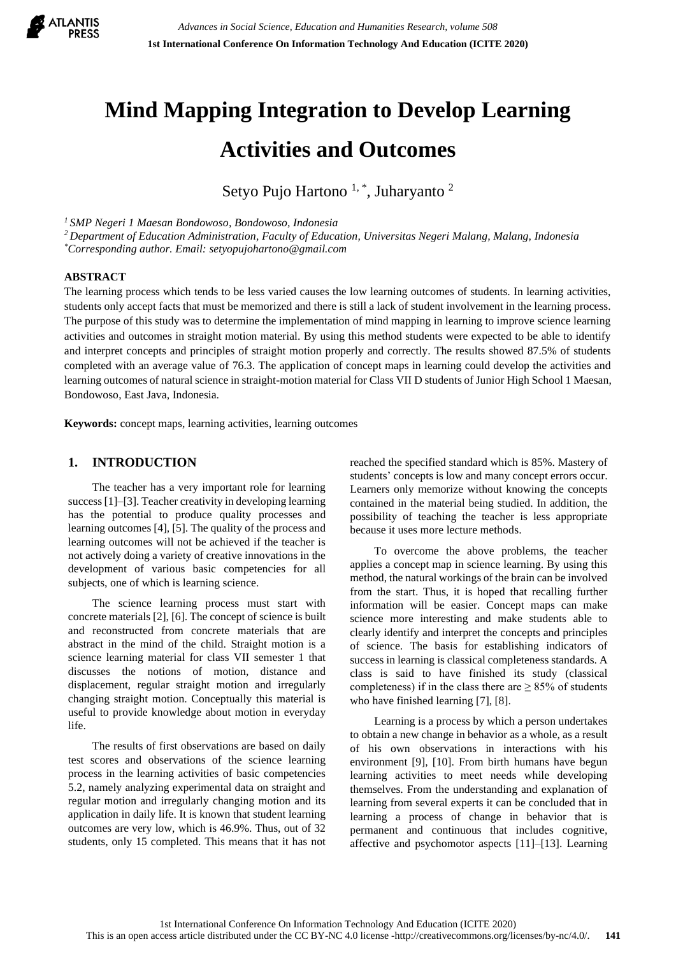

# **Mind Mapping Integration to Develop Learning Activities and Outcomes**

Setyo Pujo Hartono<sup>1,\*</sup>, Juharyanto<sup>2</sup>

*<sup>1</sup>SMP Negeri 1 Maesan Bondowoso, Bondowoso, Indonesia*

*<sup>2</sup>Department of Education Administration, Faculty of Education, Universitas Negeri Malang, Malang, Indonesia*

*\*Corresponding author. Email: setyopujohartono@gmail.com*

## **ABSTRACT**

The learning process which tends to be less varied causes the low learning outcomes of students. In learning activities, students only accept facts that must be memorized and there is still a lack of student involvement in the learning process. The purpose of this study was to determine the implementation of mind mapping in learning to improve science learning activities and outcomes in straight motion material. By using this method students were expected to be able to identify and interpret concepts and principles of straight motion properly and correctly. The results showed 87.5% of students completed with an average value of 76.3. The application of concept maps in learning could develop the activities and learning outcomes of natural science in straight-motion material for Class VII D students of Junior High School 1 Maesan, Bondowoso, East Java, Indonesia.

**Keywords:** concept maps, learning activities, learning outcomes

## **1. INTRODUCTION**

The teacher has a very important role for learning success[1]–[3]. Teacher creativity in developing learning has the potential to produce quality processes and learning outcomes [4], [5]. The quality of the process and learning outcomes will not be achieved if the teacher is not actively doing a variety of creative innovations in the development of various basic competencies for all subjects, one of which is learning science.

The science learning process must start with concrete materials [2], [6]. The concept of science is built and reconstructed from concrete materials that are abstract in the mind of the child. Straight motion is a science learning material for class VII semester 1 that discusses the notions of motion, distance and displacement, regular straight motion and irregularly changing straight motion. Conceptually this material is useful to provide knowledge about motion in everyday life.

The results of first observations are based on daily test scores and observations of the science learning process in the learning activities of basic competencies 5.2, namely analyzing experimental data on straight and regular motion and irregularly changing motion and its application in daily life. It is known that student learning outcomes are very low, which is 46.9%. Thus, out of 32 students, only 15 completed. This means that it has not reached the specified standard which is 85%. Mastery of students' concepts is low and many concept errors occur. Learners only memorize without knowing the concepts contained in the material being studied. In addition, the possibility of teaching the teacher is less appropriate because it uses more lecture methods.

To overcome the above problems, the teacher applies a concept map in science learning. By using this method, the natural workings of the brain can be involved from the start. Thus, it is hoped that recalling further information will be easier. Concept maps can make science more interesting and make students able to clearly identify and interpret the concepts and principles of science. The basis for establishing indicators of success in learning is classical completeness standards. A class is said to have finished its study (classical completeness) if in the class there are  $\geq$  85% of students who have finished learning [7], [8].

Learning is a process by which a person undertakes to obtain a new change in behavior as a whole, as a result of his own observations in interactions with his environment [9], [10]. From birth humans have begun learning activities to meet needs while developing themselves. From the understanding and explanation of learning from several experts it can be concluded that in learning a process of change in behavior that is permanent and continuous that includes cognitive, affective and psychomotor aspects [11]–[13]. Learning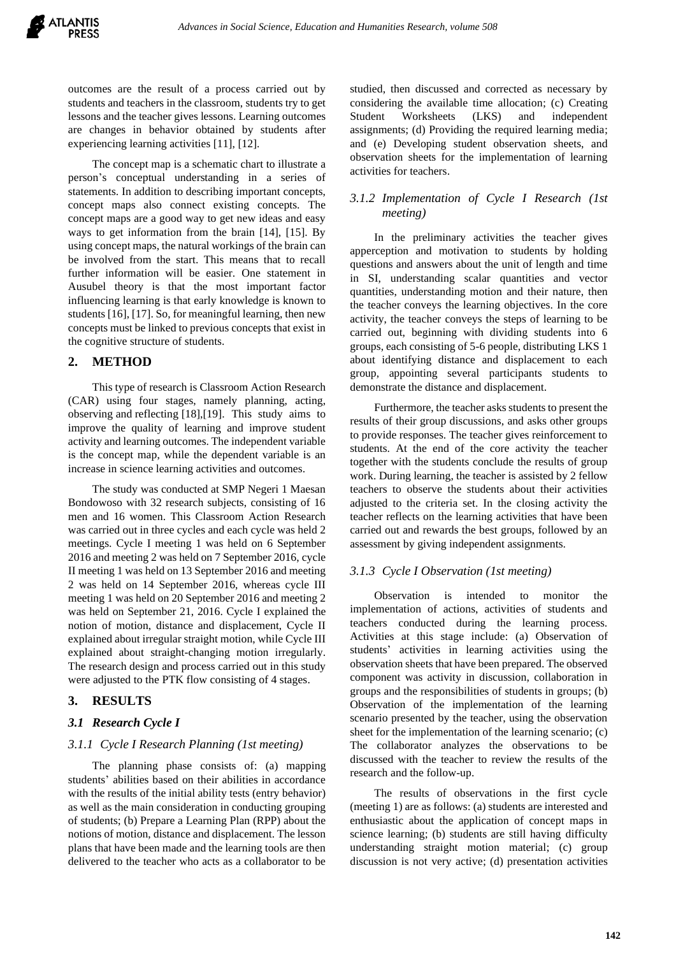outcomes are the result of a process carried out by students and teachers in the classroom, students try to get lessons and the teacher gives lessons. Learning outcomes are changes in behavior obtained by students after experiencing learning activities [11], [12].

The concept map is a schematic chart to illustrate a person's conceptual understanding in a series of statements. In addition to describing important concepts, concept maps also connect existing concepts. The concept maps are a good way to get new ideas and easy ways to get information from the brain [14], [15]. By using concept maps, the natural workings of the brain can be involved from the start. This means that to recall further information will be easier. One statement in Ausubel theory is that the most important factor influencing learning is that early knowledge is known to students [16], [17]. So, for meaningful learning, then new concepts must be linked to previous concepts that exist in the cognitive structure of students.

## **2. METHOD**

This type of research is Classroom Action Research (CAR) using four stages, namely planning, acting, observing and reflecting [18],[19]. This study aims to improve the quality of learning and improve student activity and learning outcomes. The independent variable is the concept map, while the dependent variable is an increase in science learning activities and outcomes.

The study was conducted at SMP Negeri 1 Maesan Bondowoso with 32 research subjects, consisting of 16 men and 16 women. This Classroom Action Research was carried out in three cycles and each cycle was held 2 meetings. Cycle I meeting 1 was held on 6 September 2016 and meeting 2 was held on 7 September 2016, cycle II meeting 1 was held on 13 September 2016 and meeting 2 was held on 14 September 2016, whereas cycle III meeting 1 was held on 20 September 2016 and meeting 2 was held on September 21, 2016. Cycle I explained the notion of motion, distance and displacement, Cycle II explained about irregular straight motion, while Cycle III explained about straight-changing motion irregularly. The research design and process carried out in this study were adjusted to the PTK flow consisting of 4 stages.

## **3. RESULTS**

## *3.1 Research Cycle I*

## *3.1.1 Cycle I Research Planning (1st meeting)*

The planning phase consists of: (a) mapping students' abilities based on their abilities in accordance with the results of the initial ability tests (entry behavior) as well as the main consideration in conducting grouping of students; (b) Prepare a Learning Plan (RPP) about the notions of motion, distance and displacement. The lesson plans that have been made and the learning tools are then delivered to the teacher who acts as a collaborator to be

studied, then discussed and corrected as necessary by considering the available time allocation; (c) Creating Student Worksheets (LKS) and independent assignments; (d) Providing the required learning media; and (e) Developing student observation sheets, and observation sheets for the implementation of learning activities for teachers.

# *3.1.2 Implementation of Cycle I Research (1st meeting)*

In the preliminary activities the teacher gives apperception and motivation to students by holding questions and answers about the unit of length and time in SI, understanding scalar quantities and vector quantities, understanding motion and their nature, then the teacher conveys the learning objectives. In the core activity, the teacher conveys the steps of learning to be carried out, beginning with dividing students into 6 groups, each consisting of 5-6 people, distributing LKS 1 about identifying distance and displacement to each group, appointing several participants students to demonstrate the distance and displacement.

Furthermore, the teacher asks students to present the results of their group discussions, and asks other groups to provide responses. The teacher gives reinforcement to students. At the end of the core activity the teacher together with the students conclude the results of group work. During learning, the teacher is assisted by 2 fellow teachers to observe the students about their activities adjusted to the criteria set. In the closing activity the teacher reflects on the learning activities that have been carried out and rewards the best groups, followed by an assessment by giving independent assignments.

## *3.1.3 Cycle I Observation (1st meeting)*

Observation is intended to monitor the implementation of actions, activities of students and teachers conducted during the learning process. Activities at this stage include: (a) Observation of students' activities in learning activities using the observation sheets that have been prepared. The observed component was activity in discussion, collaboration in groups and the responsibilities of students in groups; (b) Observation of the implementation of the learning scenario presented by the teacher, using the observation sheet for the implementation of the learning scenario; (c) The collaborator analyzes the observations to be discussed with the teacher to review the results of the research and the follow-up.

The results of observations in the first cycle (meeting 1) are as follows: (a) students are interested and enthusiastic about the application of concept maps in science learning; (b) students are still having difficulty understanding straight motion material; (c) group discussion is not very active; (d) presentation activities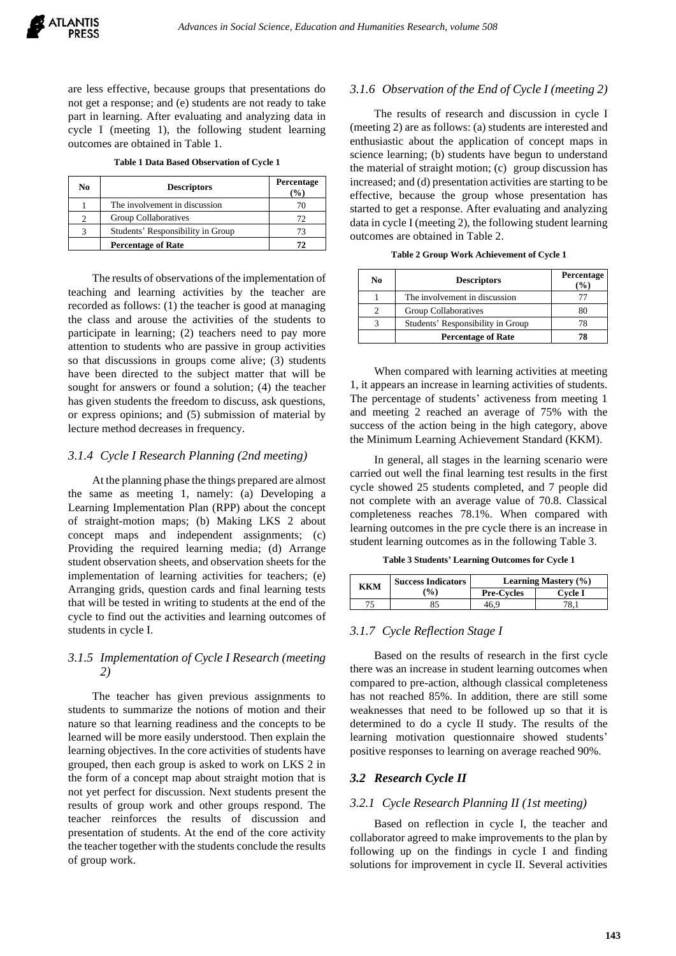are less effective, because groups that presentations do not get a response; and (e) students are not ready to take part in learning. After evaluating and analyzing data in cycle I (meeting 1), the following student learning outcomes are obtained in Table 1.

**Table 1 Data Based Observation of Cycle 1**

| No | <b>Descriptors</b>                | Percentage<br>$\frac{9}{6}$ |
|----|-----------------------------------|-----------------------------|
|    | The involvement in discussion     |                             |
|    | Group Collaboratives              | 72                          |
|    | Students' Responsibility in Group | 73                          |
|    | <b>Percentage of Rate</b>         | 77                          |

The results of observations of the implementation of teaching and learning activities by the teacher are recorded as follows: (1) the teacher is good at managing the class and arouse the activities of the students to participate in learning; (2) teachers need to pay more attention to students who are passive in group activities so that discussions in groups come alive; (3) students have been directed to the subject matter that will be sought for answers or found a solution; (4) the teacher has given students the freedom to discuss, ask questions, or express opinions; and (5) submission of material by lecture method decreases in frequency.

#### *3.1.4 Cycle I Research Planning (2nd meeting)*

At the planning phase the things prepared are almost the same as meeting 1, namely: (a) Developing a Learning Implementation Plan (RPP) about the concept of straight-motion maps; (b) Making LKS 2 about concept maps and independent assignments; (c) Providing the required learning media; (d) Arrange student observation sheets, and observation sheets for the implementation of learning activities for teachers; (e) Arranging grids, question cards and final learning tests that will be tested in writing to students at the end of the cycle to find out the activities and learning outcomes of students in cycle I.

# *3.1.5 Implementation of Cycle I Research (meeting 2)*

The teacher has given previous assignments to students to summarize the notions of motion and their nature so that learning readiness and the concepts to be learned will be more easily understood. Then explain the learning objectives. In the core activities of students have grouped, then each group is asked to work on LKS 2 in the form of a concept map about straight motion that is not yet perfect for discussion. Next students present the results of group work and other groups respond. The teacher reinforces the results of discussion and presentation of students. At the end of the core activity the teacher together with the students conclude the results of group work.

#### *3.1.6 Observation of the End of Cycle I (meeting 2)*

The results of research and discussion in cycle I (meeting 2) are as follows: (a) students are interested and enthusiastic about the application of concept maps in science learning; (b) students have begun to understand the material of straight motion; (c) group discussion has increased; and (d) presentation activities are starting to be effective, because the group whose presentation has started to get a response. After evaluating and analyzing data in cycle I (meeting 2), the following student learning outcomes are obtained in Table 2.

| Table 2 Group Work Achievement of Cycle 1 |  |  |  |
|-------------------------------------------|--|--|--|
|-------------------------------------------|--|--|--|

| No | <b>Descriptors</b>                | Percentage<br>$\%$ |
|----|-----------------------------------|--------------------|
|    | The involvement in discussion     |                    |
|    | Group Collaboratives              |                    |
|    | Students' Responsibility in Group |                    |
|    | <b>Percentage of Rate</b>         |                    |

When compared with learning activities at meeting 1, it appears an increase in learning activities of students. The percentage of students' activeness from meeting 1 and meeting 2 reached an average of 75% with the success of the action being in the high category, above the Minimum Learning Achievement Standard (KKM).

In general, all stages in the learning scenario were carried out well the final learning test results in the first cycle showed 25 students completed, and 7 people did not complete with an average value of 70.8. Classical completeness reaches 78.1%. When compared with learning outcomes in the pre cycle there is an increase in student learning outcomes as in the following Table 3.

**Table 3 Students' Learning Outcomes for Cycle 1**

| ккм | <b>Success Indicators</b> | <b>Learning Mastery <math>(\% )</math></b> |         |
|-----|---------------------------|--------------------------------------------|---------|
|     | $\binom{0}{0}$            | <b>Pre-Cycles</b>                          | Cvcle I |
|     |                           | 16 S                                       |         |

#### *3.1.7 Cycle Reflection Stage I*

Based on the results of research in the first cycle there was an increase in student learning outcomes when compared to pre-action, although classical completeness has not reached 85%. In addition, there are still some weaknesses that need to be followed up so that it is determined to do a cycle II study. The results of the learning motivation questionnaire showed students' positive responses to learning on average reached 90%.

#### *3.2 Research Cycle II*

#### *3.2.1 Cycle Research Planning II (1st meeting)*

Based on reflection in cycle I, the teacher and collaborator agreed to make improvements to the plan by following up on the findings in cycle I and finding solutions for improvement in cycle II. Several activities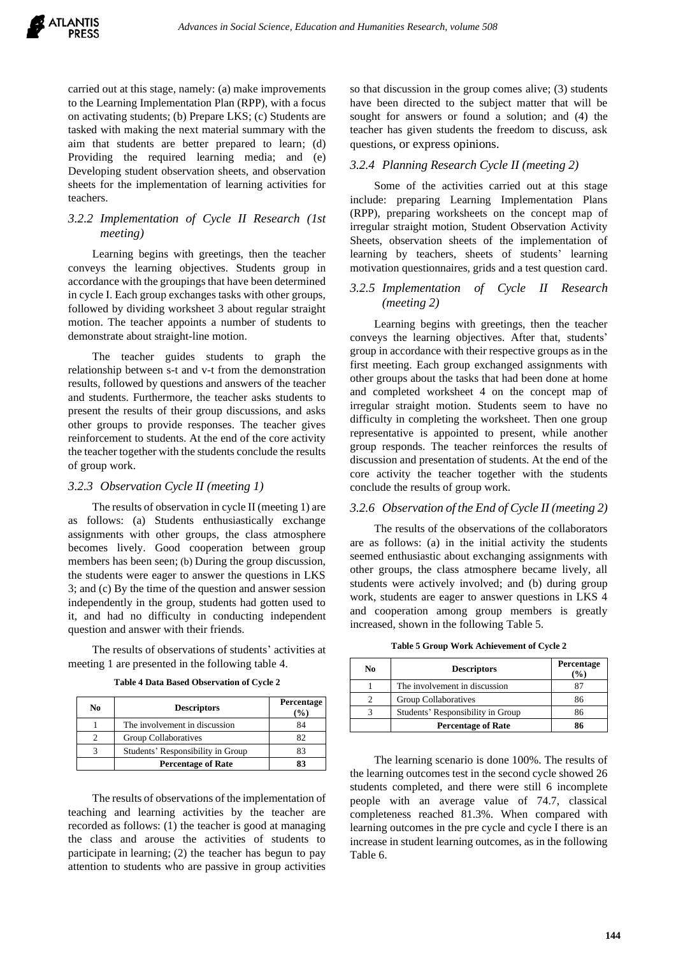carried out at this stage, namely: (a) make improvements to the Learning Implementation Plan (RPP), with a focus on activating students; (b) Prepare LKS; (c) Students are tasked with making the next material summary with the aim that students are better prepared to learn; (d) Providing the required learning media; and (e) Developing student observation sheets, and observation sheets for the implementation of learning activities for teachers.

# *3.2.2 Implementation of Cycle II Research (1st meeting)*

Learning begins with greetings, then the teacher conveys the learning objectives. Students group in accordance with the groupings that have been determined in cycle I. Each group exchanges tasks with other groups, followed by dividing worksheet 3 about regular straight motion. The teacher appoints a number of students to demonstrate about straight-line motion.

The teacher guides students to graph the relationship between s-t and v-t from the demonstration results, followed by questions and answers of the teacher and students. Furthermore, the teacher asks students to present the results of their group discussions, and asks other groups to provide responses. The teacher gives reinforcement to students. At the end of the core activity the teacher together with the students conclude the results of group work.

## *3.2.3 Observation Cycle II (meeting 1)*

The results of observation in cycle II (meeting 1) are as follows: (a) Students enthusiastically exchange assignments with other groups, the class atmosphere becomes lively. Good cooperation between group members has been seen; (b) During the group discussion, the students were eager to answer the questions in LKS 3; and (c) By the time of the question and answer session independently in the group, students had gotten used to it, and had no difficulty in conducting independent question and answer with their friends.

The results of observations of students' activities at meeting 1 are presented in the following table 4.

| No | <b>Descriptors</b>                | Percentage<br>$($ %) |
|----|-----------------------------------|----------------------|
|    | The involvement in discussion     | 84                   |
| 2  | Group Collaboratives              | 82                   |
|    | Students' Responsibility in Group | 83                   |
|    | <b>Percentage of Rate</b>         | 83                   |

**Table 4 Data Based Observation of Cycle 2**

The results of observations of the implementation of teaching and learning activities by the teacher are recorded as follows: (1) the teacher is good at managing the class and arouse the activities of students to participate in learning; (2) the teacher has begun to pay attention to students who are passive in group activities so that discussion in the group comes alive; (3) students have been directed to the subject matter that will be sought for answers or found a solution; and (4) the teacher has given students the freedom to discuss, ask questions, or express opinions.

#### *3.2.4 Planning Research Cycle II (meeting 2)*

Some of the activities carried out at this stage include: preparing Learning Implementation Plans (RPP), preparing worksheets on the concept map of irregular straight motion, Student Observation Activity Sheets, observation sheets of the implementation of learning by teachers, sheets of students' learning motivation questionnaires, grids and a test question card.

# *3.2.5 Implementation of Cycle II Research (meeting 2)*

Learning begins with greetings, then the teacher conveys the learning objectives. After that, students' group in accordance with their respective groups as in the first meeting. Each group exchanged assignments with other groups about the tasks that had been done at home and completed worksheet 4 on the concept map of irregular straight motion. Students seem to have no difficulty in completing the worksheet. Then one group representative is appointed to present, while another group responds. The teacher reinforces the results of discussion and presentation of students. At the end of the core activity the teacher together with the students conclude the results of group work.

## *3.2.6 Observation of the End of Cycle II (meeting 2)*

The results of the observations of the collaborators are as follows: (a) in the initial activity the students seemed enthusiastic about exchanging assignments with other groups, the class atmosphere became lively, all students were actively involved; and (b) during group work, students are eager to answer questions in LKS 4 and cooperation among group members is greatly increased, shown in the following Table 5.

**Table 5 Group Work Achievement of Cycle 2**

| No | <b>Descriptors</b>                | Percentage<br>$\mathcal{O}_0$ |
|----|-----------------------------------|-------------------------------|
|    | The involvement in discussion     |                               |
|    | Group Collaboratives              | 86                            |
|    | Students' Responsibility in Group | 86                            |
|    | <b>Percentage of Rate</b>         | 86                            |

The learning scenario is done 100%. The results of the learning outcomes test in the second cycle showed 26 students completed, and there were still 6 incomplete people with an average value of 74.7, classical completeness reached 81.3%. When compared with learning outcomes in the pre cycle and cycle I there is an increase in student learning outcomes, as in the following Table 6.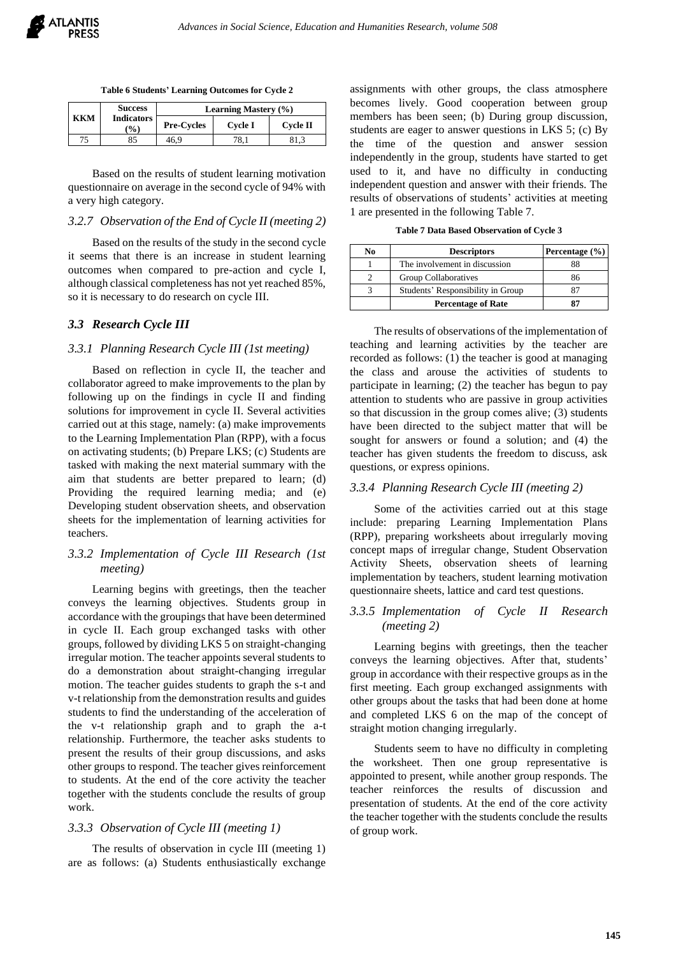**Table 6 Students' Learning Outcomes for Cycle 2**

|     | <b>Success</b>                       | <b>Learning Mastery (%)</b> |         |          |
|-----|--------------------------------------|-----------------------------|---------|----------|
| ккм | <b>Indicators</b><br>$\mathcal{O}_0$ | <b>Pre-Cycles</b>           | Cycle I | Cycle II |
| 75  | 85                                   | 46.9                        |         |          |

Based on the results of student learning motivation questionnaire on average in the second cycle of 94% with a very high category.

## *3.2.7 Observation of the End of Cycle II (meeting 2)*

Based on the results of the study in the second cycle it seems that there is an increase in student learning outcomes when compared to pre-action and cycle I, although classical completeness has not yet reached 85%, so it is necessary to do research on cycle III.

#### *3.3 Research Cycle III*

#### *3.3.1 Planning Research Cycle III (1st meeting)*

Based on reflection in cycle II, the teacher and collaborator agreed to make improvements to the plan by following up on the findings in cycle II and finding solutions for improvement in cycle II. Several activities carried out at this stage, namely: (a) make improvements to the Learning Implementation Plan (RPP), with a focus on activating students; (b) Prepare LKS; (c) Students are tasked with making the next material summary with the aim that students are better prepared to learn; (d) Providing the required learning media; and (e) Developing student observation sheets, and observation sheets for the implementation of learning activities for teachers.

## *3.3.2 Implementation of Cycle III Research (1st meeting)*

Learning begins with greetings, then the teacher conveys the learning objectives. Students group in accordance with the groupings that have been determined in cycle II. Each group exchanged tasks with other groups, followed by dividing LKS 5 on straight-changing irregular motion. The teacher appoints several students to do a demonstration about straight-changing irregular motion. The teacher guides students to graph the s-t and v-t relationship from the demonstration results and guides students to find the understanding of the acceleration of the v-t relationship graph and to graph the a-t relationship. Furthermore, the teacher asks students to present the results of their group discussions, and asks other groups to respond. The teacher gives reinforcement to students. At the end of the core activity the teacher together with the students conclude the results of group work.

#### *3.3.3 Observation of Cycle III (meeting 1)*

The results of observation in cycle III (meeting 1) are as follows: (a) Students enthusiastically exchange

assignments with other groups, the class atmosphere becomes lively. Good cooperation between group members has been seen; (b) During group discussion, students are eager to answer questions in LKS 5; (c) By the time of the question and answer session independently in the group, students have started to get used to it, and have no difficulty in conducting independent question and answer with their friends. The results of observations of students' activities at meeting 1 are presented in the following Table 7.

**Table 7 Data Based Observation of Cycle 3**

| No | <b>Descriptors</b>                | Percentage $(\% )$ |
|----|-----------------------------------|--------------------|
|    | The involvement in discussion     | 88                 |
|    | <b>Group Collaboratives</b>       | 86                 |
|    | Students' Responsibility in Group |                    |
|    | <b>Percentage of Rate</b>         |                    |

The results of observations of the implementation of teaching and learning activities by the teacher are recorded as follows: (1) the teacher is good at managing the class and arouse the activities of students to participate in learning; (2) the teacher has begun to pay attention to students who are passive in group activities so that discussion in the group comes alive; (3) students have been directed to the subject matter that will be sought for answers or found a solution; and (4) the teacher has given students the freedom to discuss, ask questions, or express opinions.

#### *3.3.4 Planning Research Cycle III (meeting 2)*

Some of the activities carried out at this stage include: preparing Learning Implementation Plans (RPP), preparing worksheets about irregularly moving concept maps of irregular change, Student Observation Activity Sheets, observation sheets of learning implementation by teachers, student learning motivation questionnaire sheets, lattice and card test questions.

## *3.3.5 Implementation of Cycle II Research (meeting 2)*

Learning begins with greetings, then the teacher conveys the learning objectives. After that, students' group in accordance with their respective groups as in the first meeting. Each group exchanged assignments with other groups about the tasks that had been done at home and completed LKS 6 on the map of the concept of straight motion changing irregularly.

Students seem to have no difficulty in completing the worksheet. Then one group representative is appointed to present, while another group responds. The teacher reinforces the results of discussion and presentation of students. At the end of the core activity the teacher together with the students conclude the results of group work.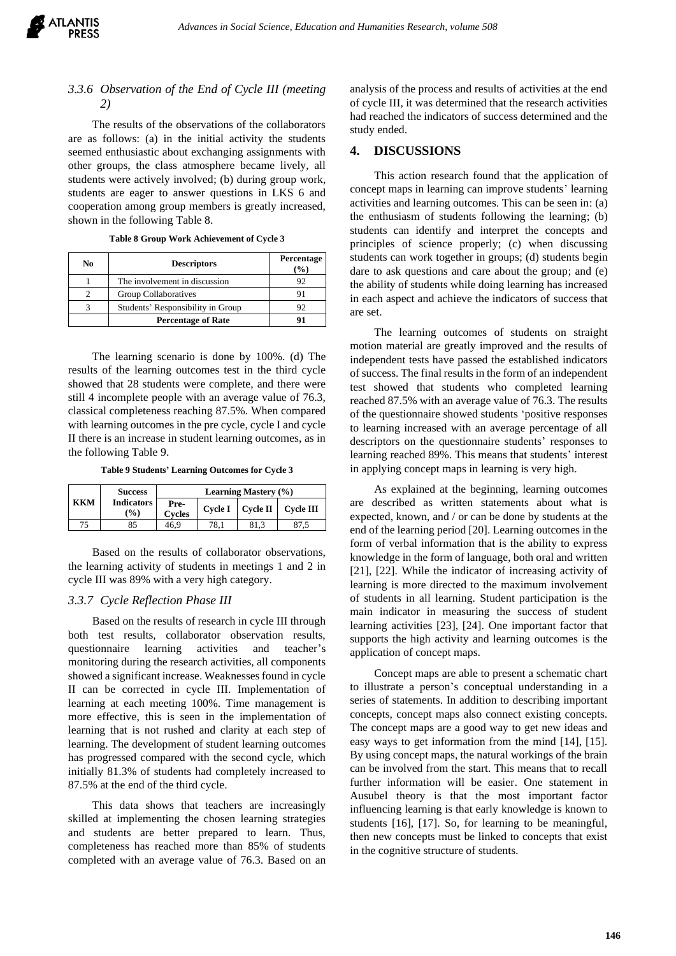# *3.3.6 Observation of the End of Cycle III (meeting 2)*

The results of the observations of the collaborators are as follows: (a) in the initial activity the students seemed enthusiastic about exchanging assignments with other groups, the class atmosphere became lively, all students were actively involved; (b) during group work, students are eager to answer questions in LKS 6 and cooperation among group members is greatly increased, shown in the following Table 8.

|  |  | Table 8 Group Work Achievement of Cycle 3 |  |
|--|--|-------------------------------------------|--|
|--|--|-------------------------------------------|--|

| No | <b>Descriptors</b>                | Percentage<br>$($ % $)$ |
|----|-----------------------------------|-------------------------|
|    | The involvement in discussion     | 92                      |
|    | Group Collaboratives              |                         |
|    | Students' Responsibility in Group | 92                      |
|    | <b>Percentage of Rate</b>         |                         |

The learning scenario is done by 100%. (d) The results of the learning outcomes test in the third cycle showed that 28 students were complete, and there were still 4 incomplete people with an average value of 76.3, classical completeness reaching 87.5%. When compared with learning outcomes in the pre cycle, cycle I and cycle II there is an increase in student learning outcomes, as in the following Table 9.

**Table 9 Students' Learning Outcomes for Cycle 3**

|     | <b>Success</b>           |                       |      | <b>Learning Mastery (%)</b> |                                |
|-----|--------------------------|-----------------------|------|-----------------------------|--------------------------------|
| ккм | <b>Indicators</b><br>(%) | Pre-<br><b>Cycles</b> |      |                             | Cycle I   Cycle II   Cycle III |
|     |                          | 46.9                  | 78.1 |                             |                                |

Based on the results of collaborator observations, the learning activity of students in meetings 1 and 2 in cycle III was 89% with a very high category.

#### *3.3.7 Cycle Reflection Phase III*

Based on the results of research in cycle III through both test results, collaborator observation results, questionnaire learning activities and teacher's monitoring during the research activities, all components showed a significant increase. Weaknesses found in cycle II can be corrected in cycle III. Implementation of learning at each meeting 100%. Time management is more effective, this is seen in the implementation of learning that is not rushed and clarity at each step of learning. The development of student learning outcomes has progressed compared with the second cycle, which initially 81.3% of students had completely increased to 87.5% at the end of the third cycle.

This data shows that teachers are increasingly skilled at implementing the chosen learning strategies and students are better prepared to learn. Thus, completeness has reached more than 85% of students completed with an average value of 76.3. Based on an

analysis of the process and results of activities at the end of cycle III, it was determined that the research activities had reached the indicators of success determined and the study ended.

#### **4. DISCUSSIONS**

This action research found that the application of concept maps in learning can improve students' learning activities and learning outcomes. This can be seen in: (a) the enthusiasm of students following the learning; (b) students can identify and interpret the concepts and principles of science properly; (c) when discussing students can work together in groups; (d) students begin dare to ask questions and care about the group; and (e) the ability of students while doing learning has increased in each aspect and achieve the indicators of success that are set.

The learning outcomes of students on straight motion material are greatly improved and the results of independent tests have passed the established indicators of success. The final results in the form of an independent test showed that students who completed learning reached 87.5% with an average value of 76.3. The results of the questionnaire showed students 'positive responses to learning increased with an average percentage of all descriptors on the questionnaire students' responses to learning reached 89%. This means that students' interest in applying concept maps in learning is very high.

As explained at the beginning, learning outcomes are described as written statements about what is expected, known, and / or can be done by students at the end of the learning period [20]. Learning outcomes in the form of verbal information that is the ability to express knowledge in the form of language, both oral and written [21], [22]. While the indicator of increasing activity of learning is more directed to the maximum involvement of students in all learning. Student participation is the main indicator in measuring the success of student learning activities [23], [24]. One important factor that supports the high activity and learning outcomes is the application of concept maps.

Concept maps are able to present a schematic chart to illustrate a person's conceptual understanding in a series of statements. In addition to describing important concepts, concept maps also connect existing concepts. The concept maps are a good way to get new ideas and easy ways to get information from the mind [14], [15]. By using concept maps, the natural workings of the brain can be involved from the start. This means that to recall further information will be easier. One statement in Ausubel theory is that the most important factor influencing learning is that early knowledge is known to students [16], [17]. So, for learning to be meaningful, then new concepts must be linked to concepts that exist in the cognitive structure of students.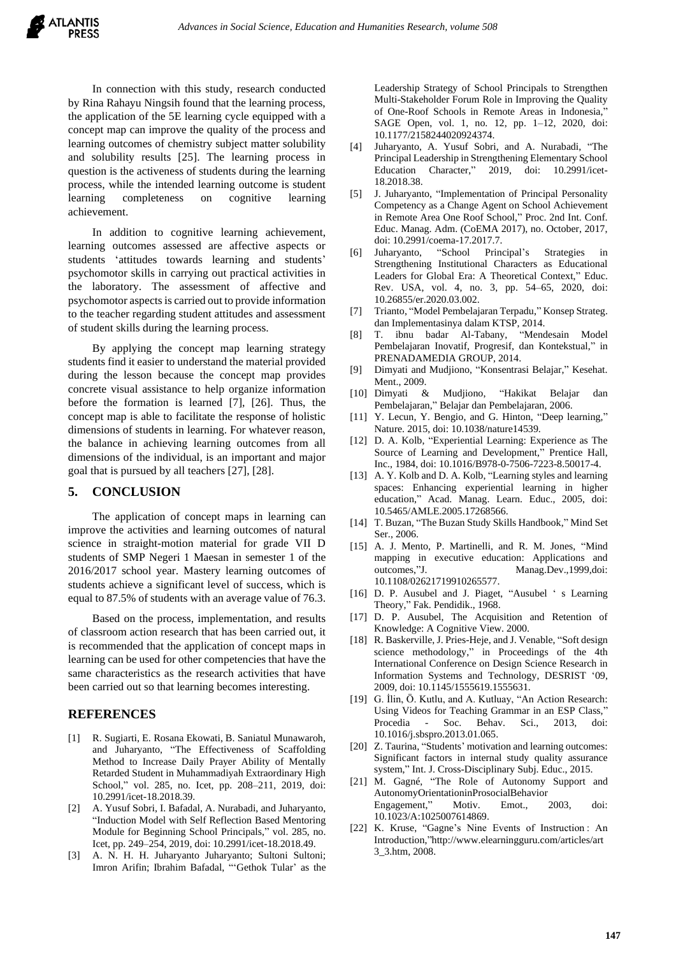In connection with this study, research conducted by Rina Rahayu Ningsih found that the learning process, the application of the 5E learning cycle equipped with a concept map can improve the quality of the process and learning outcomes of chemistry subject matter solubility and solubility results [25]. The learning process in question is the activeness of students during the learning process, while the intended learning outcome is student learning completeness on cognitive learning achievement.

In addition to cognitive learning achievement, learning outcomes assessed are affective aspects or students 'attitudes towards learning and students' psychomotor skills in carrying out practical activities in the laboratory. The assessment of affective and psychomotor aspects is carried out to provide information to the teacher regarding student attitudes and assessment of student skills during the learning process.

By applying the concept map learning strategy students find it easier to understand the material provided during the lesson because the concept map provides concrete visual assistance to help organize information before the formation is learned [7], [26]. Thus, the concept map is able to facilitate the response of holistic dimensions of students in learning. For whatever reason, the balance in achieving learning outcomes from all dimensions of the individual, is an important and major goal that is pursued by all teachers [27], [28].

## **5. CONCLUSION**

The application of concept maps in learning can improve the activities and learning outcomes of natural science in straight-motion material for grade VII D students of SMP Negeri 1 Maesan in semester 1 of the 2016/2017 school year. Mastery learning outcomes of students achieve a significant level of success, which is equal to 87.5% of students with an average value of 76.3.

Based on the process, implementation, and results of classroom action research that has been carried out, it is recommended that the application of concept maps in learning can be used for other competencies that have the same characteristics as the research activities that have been carried out so that learning becomes interesting.

#### **REFERENCES**

- [1] R. Sugiarti, E. Rosana Ekowati, B. Saniatul Munawaroh, and Juharyanto, "The Effectiveness of Scaffolding Method to Increase Daily Prayer Ability of Mentally Retarded Student in Muhammadiyah Extraordinary High School," vol. 285, no. Icet, pp. 208–211, 2019, doi: 10.2991/icet-18.2018.39.
- [2] A. Yusuf Sobri, I. Bafadal, A. Nurabadi, and Juharyanto, "Induction Model with Self Reflection Based Mentoring Module for Beginning School Principals," vol. 285, no. Icet, pp. 249–254, 2019, doi: 10.2991/icet-18.2018.49.
- [3] A. N. H. H. Juharyanto Juharyanto; Sultoni Sultoni; Imron Arifin; Ibrahim Bafadal, "'Gethok Tular' as the

Leadership Strategy of School Principals to Strengthen Multi-Stakeholder Forum Role in Improving the Quality of One-Roof Schools in Remote Areas in Indonesia," SAGE Open, vol. 1, no. 12, pp. 1–12, 2020, doi: 10.1177/2158244020924374.

- [4] Juharyanto, A. Yusuf Sobri, and A. Nurabadi, "The Principal Leadership in Strengthening Elementary School Education Character," 2019, doi: 10.2991/icet-18.2018.38.
- [5] J. Juharyanto, "Implementation of Principal Personality Competency as a Change Agent on School Achievement in Remote Area One Roof School," Proc. 2nd Int. Conf. Educ. Manag. Adm. (CoEMA 2017), no. October, 2017, doi: 10.2991/coema-17.2017.7.
- [6] Juharyanto, "School Principal's Strategies in Strengthening Institutional Characters as Educational Leaders for Global Era: A Theoretical Context," Educ. Rev. USA, vol. 4, no. 3, pp. 54–65, 2020, doi: 10.26855/er.2020.03.002.
- [7] Trianto, "Model Pembelajaran Terpadu," Konsep Strateg. dan Implementasinya dalam KTSP, 2014.
- [8] T. ibnu badar Al-Tabany, "Mendesain Model Pembelajaran Inovatif, Progresif, dan Kontekstual," in PRENADAMEDIA GROUP, 2014.
- [9] Dimyati and Mudjiono, "Konsentrasi Belajar," Kesehat. Ment., 2009.
- [10] Dimyati & Mudjiono, "Hakikat Belajar dan Pembelajaran," Belajar dan Pembelajaran, 2006.
- [11] Y. Lecun, Y. Bengio, and G. Hinton, "Deep learning," Nature. 2015, doi: 10.1038/nature14539.
- [12] D. A. Kolb, "Experiential Learning: Experience as The Source of Learning and Development," Prentice Hall, Inc., 1984, doi: 10.1016/B978-0-7506-7223-8.50017-4.
- [13] A. Y. Kolb and D. A. Kolb, "Learning styles and learning spaces: Enhancing experiential learning in higher education," Acad. Manag. Learn. Educ., 2005, doi: 10.5465/AMLE.2005.17268566.
- [14] T. Buzan, "The Buzan Study Skills Handbook," Mind Set Ser., 2006.
- [15] A. J. Mento, P. Martinelli, and R. M. Jones, "Mind mapping in executive education: Applications and outcomes,"J. Manag.Dev.,1999,doi: 10.1108/02621719910265577.
- [16] D. P. Ausubel and J. Piaget, "Ausubel ' s Learning Theory," Fak. Pendidik., 1968.
- [17] D. P. Ausubel, The Acquisition and Retention of Knowledge: A Cognitive View. 2000.
- [18] R. Baskerville, J. Pries-Heje, and J. Venable, "Soft design science methodology," in Proceedings of the 4th International Conference on Design Science Research in Information Systems and Technology, DESRIST '09, 2009, doi: 10.1145/1555619.1555631.
- [19] G. İlin, Ö. Kutlu, and A. Kutluay, "An Action Research: Using Videos for Teaching Grammar in an ESP Class," Procedia - Soc. Behav. Sci., 2013, doi: 10.1016/j.sbspro.2013.01.065.
- [20] Z. Taurina, "Students' motivation and learning outcomes: Significant factors in internal study quality assurance system," Int. J. Cross-Disciplinary Subj. Educ., 2015.
- [21] M. Gagné, "The Role of Autonomy Support and AutonomyOrientationinProsocialBehavior<br>
Engagement "Motiv. Emot. 2003. Engagement," Motiv. Emot., 2003, doi: 10.1023/A:1025007614869.
- [22] K. Kruse, "Gagne's Nine Events of Instruction: An Introduction,["http://www.el](http://www.e/)earningguru.com/articles/art 3\_3.htm, 2008.